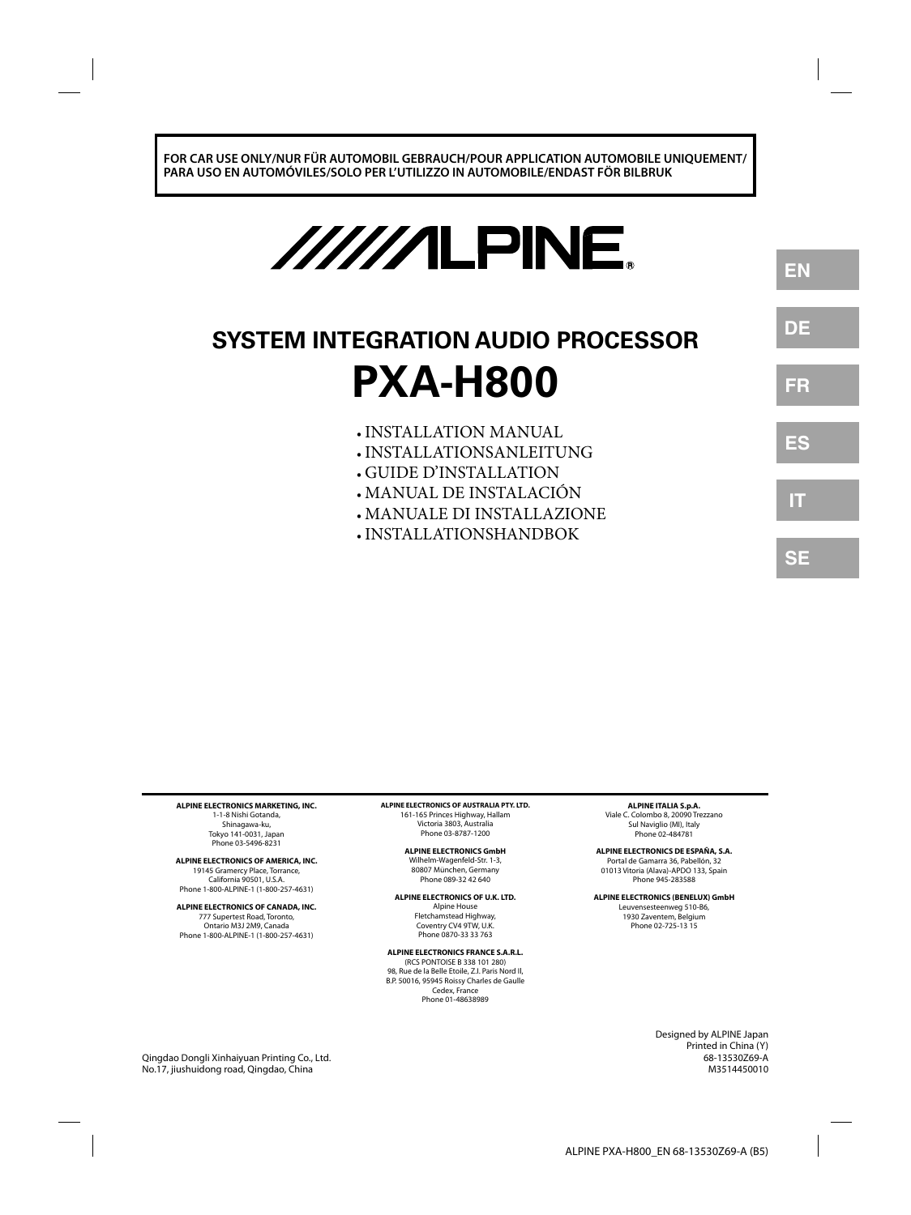**FOR CAR USE ONLY/NUR FÜR AUTOMOBIL GEBRAUCH/POUR APPLICATION AUTOMOBILE UNIQUEMENT/ PARA USO EN AUTOMÓVILES/SOLO PER L'UTILIZZO IN AUTOMOBILE/ENDAST FÖR BILBRUK**

# //////LPINE.

# **SYSTEM INTEGRATION AUDIO PROCESSOR PXA-H800**

- INSTALLATION MANUAL **•**
- INSTALLATIONSANLEITUNG **•**
- GUIDE D'INSTALLATION **•**
- MANUAL DE INSTALACIÓN **•**
- MANUALE DI INSTALLAZIONE **•**
- INSTALLATIONSHANDBOK **•**

**ALPINE ELECTRONICS MARKETING, INC.** 1-1-8 Nishi Gotanda, Shinagawa-ku, Tokyo 141-0031, Japan Phone 03-5496-8231

**ALPINE ELECTRONICS OF AMERICA, INC.** 19145 Gramercy Place, Torrance, California 90501, U.S.A. Phone 1-800-ALPINE-1 (1-800-257-4631)

**ALPINE ELECTRONICS OF CANADA, INC.** 777 Supertest Road, Toronto, Ontario M3J 2M9, Canada Phone 1-800-ALPINE-1 (1-800-257-4631)

**ALPINE ELECTRONICS OF AUSTRALIA PTY. LTD.** 161-165 Princes Highway, Hallam Victoria 3803, Australia Phone 03-8787-1200

> **ALPINE ELECTRONICS GmbH** Wilhelm-Wagenfeld-Str. 1-3, 80807 München, Germany Phone 089-32 42 640

**ALPINE ELECTRONICS OF U.K. LTD.** Alpine House Fletchamstead Highway, Coventry CV4 9TW, U.K. Phone 0870-33 33 763

**ALPINE ELECTRONICS FRANCE S.A.R.L.**

(RCS PONTOISE B 338 101 280) 98, Rue de la Belle Etoile, Z.I. Paris Nord Il, B.P. 50016, 95945 Roissy Charles de Gaulle Cedex, France Phone 01-48638989

**ALPINE ITALIA S.p.A.** Viale C. Colombo 8, 20090 Trezzano

Sul Naviglio (MI), Italy Phone 02-484781

**ALPINE ELECTRONICS DE ESPAÑA, S.A.** Portal de Gamarra 36, Pabellón, 32 01013 Vitoria (Alava)-APDO 133, Spain Phone 945-283588

**ALPINE ELECTRONICS (BENELUX) GmbH**

Leuvensesteenweg 510-B6, 1930 Zaventem, Belgium Phone 02-725-13 15

> Designed by ALPINE Japan Printed in China (Y) 68-13530Z69-A M3514450010

**EN**

**DE**

**FR**

**ES**

**IT**

**SE**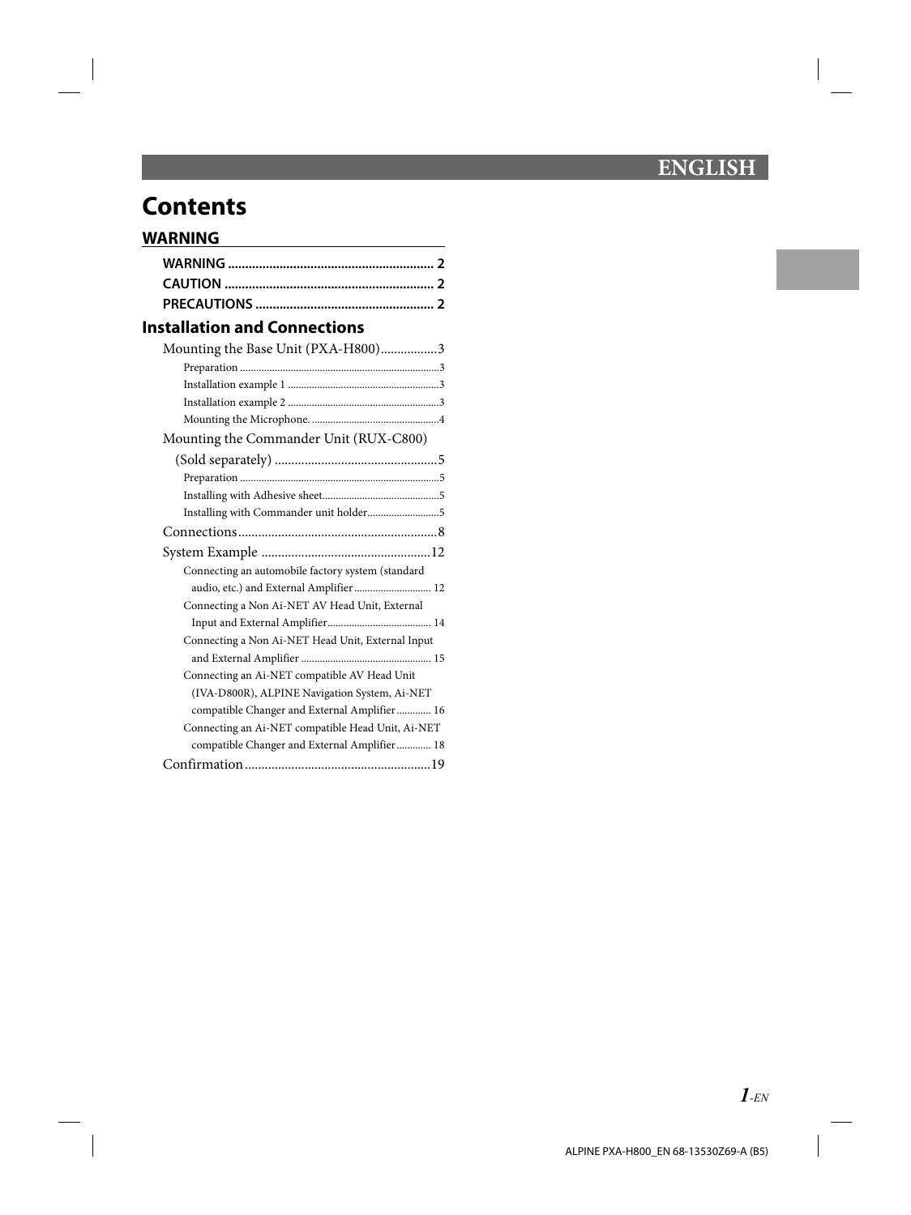# **ENGLISH**

# **Contents**

# **WARNING**

# **Installation and Connections**

| Mounting the Base Unit (PXA-H800)3                |  |
|---------------------------------------------------|--|
|                                                   |  |
|                                                   |  |
|                                                   |  |
|                                                   |  |
| Mounting the Commander Unit (RUX-C800)            |  |
|                                                   |  |
|                                                   |  |
|                                                   |  |
| Installing with Commander unit holder5            |  |
|                                                   |  |
|                                                   |  |
| Connecting an automobile factory system (standard |  |
| audio, etc.) and External Amplifier  12           |  |
| Connecting a Non Ai-NET AV Head Unit, External    |  |
|                                                   |  |
| Connecting a Non Ai-NET Head Unit, External Input |  |
|                                                   |  |
| Connecting an Ai-NET compatible AV Head Unit      |  |
| (IVA-D800R), ALPINE Navigation System, Ai-NET     |  |
| compatible Changer and External Amplifier 16      |  |
| Connecting an Ai-NET compatible Head Unit, Ai-NET |  |
| compatible Changer and External Amplifier 18      |  |
|                                                   |  |
|                                                   |  |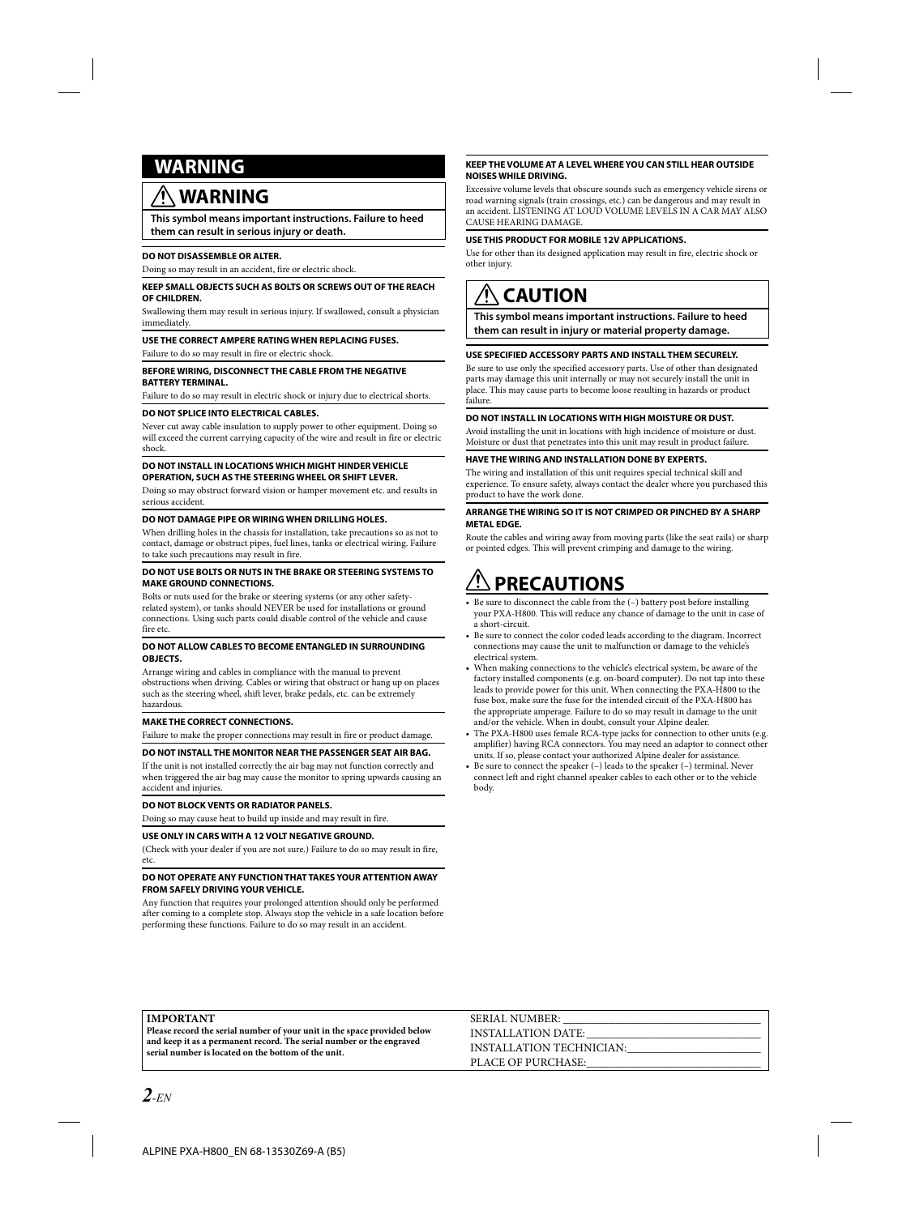# **RNING**

# **WARNING**

**This symbol means important instructions. Failure to heed them can result in serious injury or death.**

#### **DO NOT DISASSEMBLE OR ALTER.**

Doing so may result in an accident, fire or electric shock.

#### **KEEP SMALL OBJECTS SUCH AS BOLTS OR SCREWS OUT OF THE REACH OF CHILDREN.**

Swallowing them may result in serious injury. If swallowed, consult a physician immediately.

#### **USE THE CORRECT AMPERE RATING WHEN REPLACING FUSES.**

Failure to do so may result in fire or electric shock.

#### **BEFORE WIRING, DISCONNECT THE CABLE FROM THE NEGATIVE BATTERY TERMINAL.**

Failure to do so may result in electric shock or injury due to electrical shorts.

#### **DO NOT SPLICE INTO ELECTRICAL CABLES.**

Never cut away cable insulation to supply power to other equipment. Doing so will exceed the current carrying capacity of the wire and result in fire or electric shock.

#### **DO NOT INSTALL IN LOCATIONS WHICH MIGHT HINDER VEHICLE OPERATION, SUCH AS THE STEERING WHEEL OR SHIFT LEVER.**

Doing so may obstruct forward vision or hamper movement etc. and results in serious accident.

#### **DO NOT DAMAGE PIPE OR WIRING WHEN DRILLING HOLES.**

When drilling holes in the chassis for installation, take precautions so as not to contact, damage or obstruct pipes, fuel lines, tanks or electrical wiring. Failure to take such precautions may result in fire.

#### **DO NOT USE BOLTS OR NUTS IN THE BRAKE OR STEERING SYSTEMS TO MAKE GROUND CONNECTIONS.**

Bolts or nuts used for the brake or steering systems (or any other safetyrelated system), or tanks should NEVER be used for installations or ground connections. Using such parts could disable control of the vehicle and cause fire etc.

#### **DO NOT ALLOW CABLES TO BECOME ENTANGLED IN SURROUNDING OBJECTS.**

Arrange wiring and cables in compliance with the manual to prevent obstructions when driving. Cables or wiring that obstruct or hang up on places such as the steering wheel, shift lever, brake pedals, etc. can be extremely hazardous.

#### **MAKE THE CORRECT CONNECTIONS.**

Failure to make the proper connections may result in fire or product damage.

#### **DO NOT INSTALL THE MONITOR NEAR THE PASSENGER SEAT AIR BAG.**

If the unit is not installed correctly the air bag may not function correctly and when triggered the air bag may cause the monitor to spring upwards causing an accident and injuries.

#### **DO NOT BLOCK VENTS OR RADIATOR PANELS.**

Doing so may cause heat to build up inside and may result in fire.

#### **USE ONLY IN CARS WITH A 12 VOLT NEGATIVE GROUND.**

(Check with your dealer if you are not sure.) Failure to do so may result in fire, etc.

#### **DO NOT OPERATE ANY FUNCTION THAT TAKES YOUR ATTENTION AWAY FROM SAFELY DRIVING YOUR VEHICLE.**

Any function that requires your prolonged attention should only be performed after coming to a complete stop. Always stop the vehicle in a safe location before performing these functions. Failure to do so may result in an accident.

#### **KEEP THE VOLUME AT A LEVEL WHERE YOU CAN STILL HEAR OUTSIDE NOISES WHILE DRIVING.**

Excessive volume levels that obscure sounds such as emergency vehicle sirens or road warning signals (train crossings, etc.) can be dangerous and may result in an accident. LISTENING AT LOUD VOLUME LEVELS IN A CAR MAY ALSO CAUSE HEARING DAMAGE.

#### **USE THIS PRODUCT FOR MOBILE 12V APPLICATIONS.**

Use for other than its designed application may result in fire, electric shock or other injury.

# **CAUTION**

**This symbol means important instructions. Failure to heed them can result in injury or material property damage.**

#### **USE SPECIFIED ACCESSORY PARTS AND INSTALL THEM SECURELY.**

Be sure to use only the specified accessory parts. Use of other than designated parts may damage this unit internally or may not securely install the unit in place. This may cause parts to become loose resulting in hazards or product failure.

#### **DO NOT INSTALL IN LOCATIONS WITH HIGH MOISTURE OR DUST.**

Avoid installing the unit in locations with high incidence of moisture or dust. Moisture or dust that penetrates into this unit may result in product failure.

#### **HAVE THE WIRING AND INSTALLATION DONE BY EXPERTS.**

The wiring and installation of this unit requires special technical skill and experience. To ensure safety, always contact the dealer where you purchased this product to have the work done.

#### **ARRANGE THE WIRING SO IT IS NOT CRIMPED OR PINCHED BY A SHARP METAL EDGE.**

Route the cables and wiring away from moving parts (like the seat rails) or sharp or pointed edges. This will prevent crimping and damage to the wiring.

# **PRECAUTIONS**

- Be sure to disconnect the cable from the (-) battery post before installing your PXA-H800. This will reduce any chance of damage to the unit in case of a short-circuit.
- Be sure to connect the color coded leads according to the diagram. Incorrect connections may cause the unit to malfunction or damage to the vehicle's electrical system. **•**
- When making connections to the vehicle's electrical system, be aware of the factory installed components (e.g. on-board computer). Do not tap into these leads to provide power for this unit. When connecting the PXA-H800 to the fuse box, make sure the fuse for the intended circuit of the PXA-H800 has the appropriate amperage. Failure to do so may result in damage to the unit and/or the vehicle. When in doubt, consult your Alpine dealer. **•**
- The PXA-H800 uses female RCA-type jacks for connection to other units (e.g. amplifier) having RCA connectors. You may need an adaptor to connect other units. If so, please contact your authorized Alpine dealer for assistance. **•**
- Be sure to connect the speaker (–) leads to the speaker (–) terminal. Never connect left and right channel speaker cables to each other or to the vehicle body. **•**

#### **IMPORTANT**

**Please record the serial number of your unit in the space provided below and keep it as a permanent record. The serial number or the engraved serial number is located on the bottom of the unit.**

SERIAL NUMBER: INSTALLATION DATE: INSTALLATION TECHNICIAN: PLACE OF PURCHASE: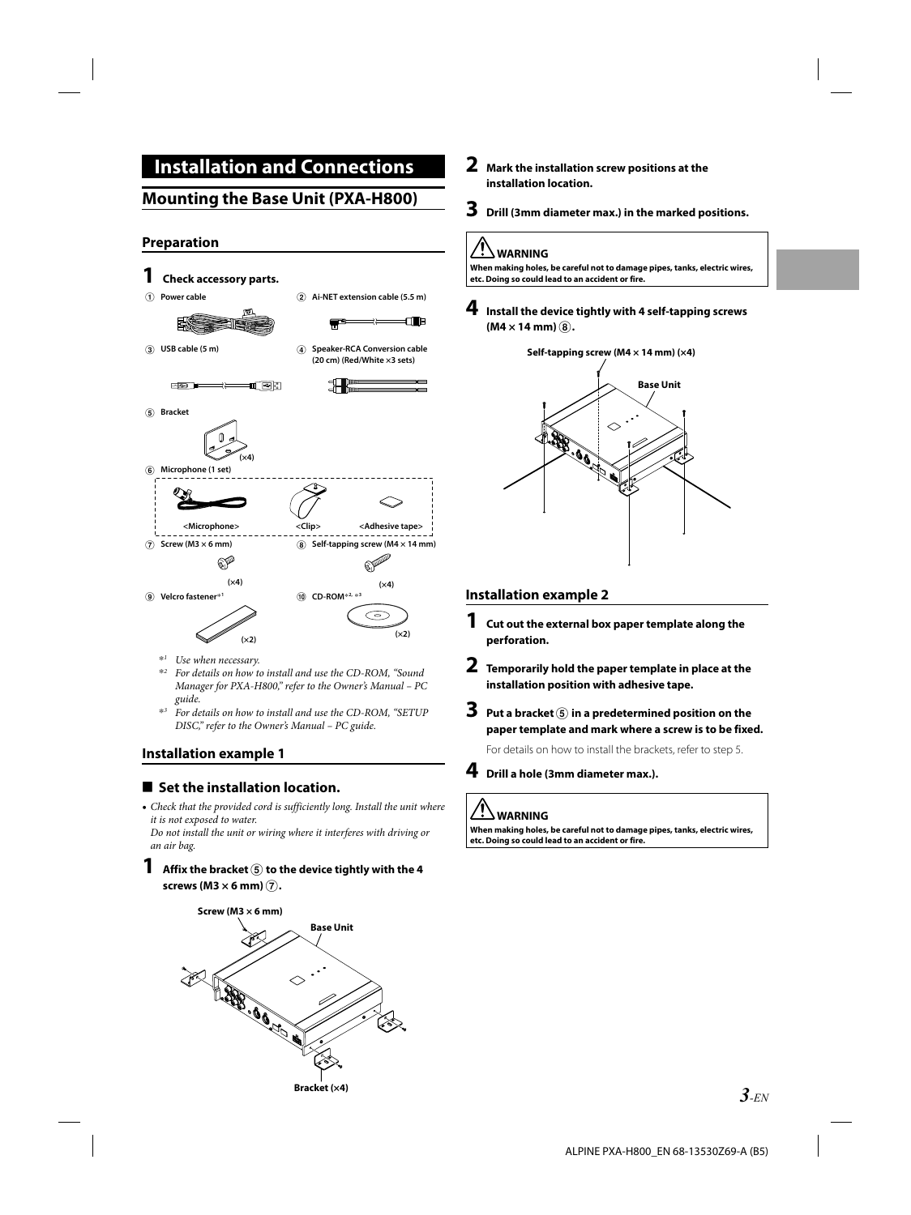# **Installation and Connections**

# **Mounting the Base Unit (PXA-H800)**

### **Preparation**



- \**1 Use when necessary.*
- \**2 For details on how to install and use the CD-ROM, "Sound Manager for PXA-H800," refer to the Owner's Manual – PC guide.*
- \**3 For details on how to install and use the CD-ROM, "SETUP DISC," refer to the Owner's Manual – PC guide.*

### **Installation example 1**

### **E** Set the installation location.

• Check that the provided cord is sufficiently long. Install the unit where *it is not exposed to water.*

*Do not install the unit or wiring where it interferes with driving or an air bag.*

#### **1** Affix the bracket  $\overline{6}$  to the device tightly with the 4 **screws (M3 × 6 mm)** G**.**



- **2 Mark the installation screw positions at the installation location.**
- **3 Drill (3mm diameter max.) in the marked positions.**

### **WARNING**

**When making holes, be careful not to damage pipes, tanks, electric wires, etc. Doing so could lead to an accident or fire.**

**4 Install the device tightly with 4 self-tapping screws**   $(M4 \times 14$  mm $)$  $(\widehat{8})$ .



#### **Installation example 2**

- **1 Cut out the external box paper template along the perforation.**
- **2 Temporarily hold the paper template in place at the installation position with adhesive tape.**
- **3 Put a bracket** <sup>E</sup> **in a predetermined position on the paper template and mark where a screw is to be fixed.**

For details on how to install the brackets, refer to step 5.



### **4 Drill a hole (3mm diameter max.).**

### **WARNING**

**When making holes, be careful not to damage pipes, tanks, electric wires, etc. Doing so could lead to an accident or fire.**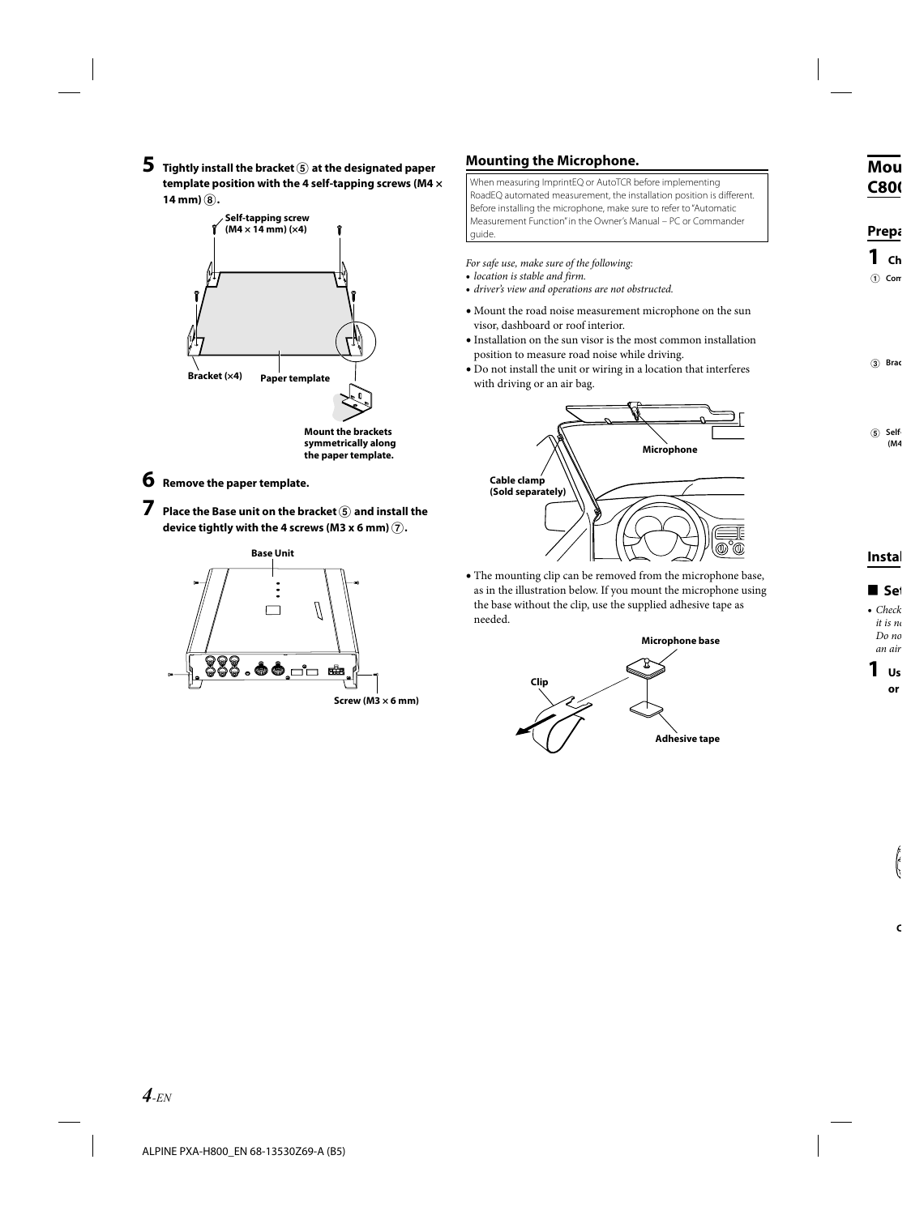$\bf 5$  Tightly install the bracket **<b>E** at the designated paper **template position with the 4 self-tapping screws (M4 ×**   $14$  mm $)$  $(8)$ .



**the paper template.**

- **6 Remove the paper template.**
- **7 Place the Base unit on the bracket** <sup>E</sup> **and install the device tightly with the 4 screws (M3 x 6 mm)** G**.**



### **Mounting the Microphone.**

When measuring ImprintEQ or AutoTCR before implementing RoadEQ automated measurement, the installation position is different. Before installing the microphone, make sure to refer to "Automatic Measurement Function" in the Owner's Manual – PC or Commander guide.

*For safe use, make sure of the following:*

- *location is stable and firm.* **•**
- *driver's view and operations are not obstructed.* **•**
- Mount the road noise measurement microphone on the sun **•** visor, dashboard or roof interior.
- $\bullet$  Installation on the sun visor is the most common installation position to measure road noise while driving.
- Do not install the unit or wiring in a location that interferes **•** with driving or an air bag.



The mounting clip can be removed from the microphone base, **•**as in the illustration below. If you mount the microphone using the base without the clip, use the supplied adhesive tape as needed.

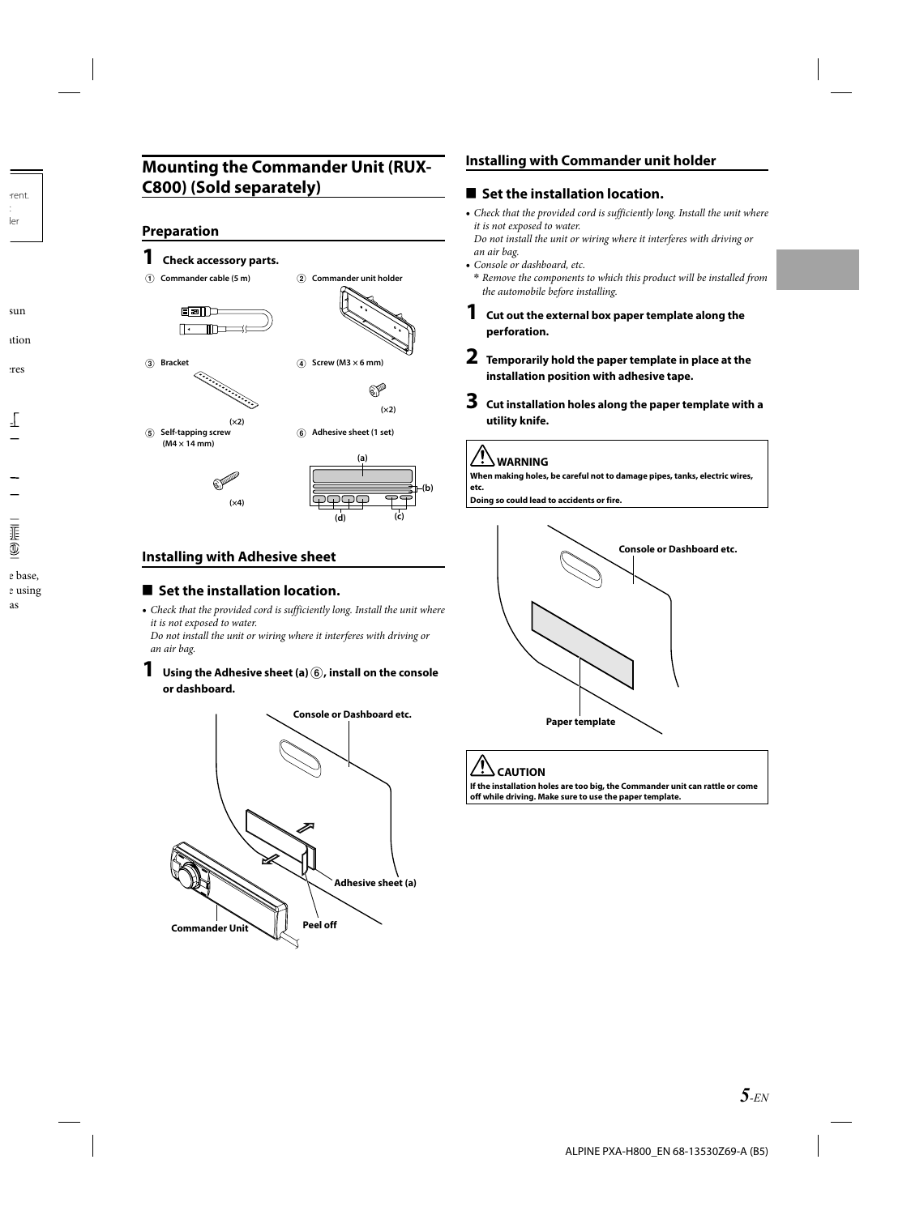# **Mounting the Commander Unit (RUX-C800) (Sold separately)**

### **Preparation**

E **Self-tapping screw (M4 × 14 mm)**

### **1 Check accessory parts.**

A **Commander cable (5 m)** B **Commander unit holder**







F **Adhesive sheet (1 set)**



### **Installing with Adhesive sheet**

 **(×4)**

 **(×2)**

### **E** Set the installation location.

• Check that the provided cord is sufficiently long. Install the unit where *it is not exposed to water.*

*Do not install the unit or wiring where it interferes with driving or an air bag.*

**1** Using the Adhesive sheet (a)  $\circledB$ , install on the console **or dashboard.**



### **Installing with Commander unit holder**

### ■ Set the installation location.

• Check that the provided cord is sufficiently long. Install the unit where *it is not exposed to water.*

*Do not install the unit or wiring where it interferes with driving or an air bag.*

- *Console or dashboard, etc.*  **•**
- *Remove the components to which this product will be installed from*  **\*** *the automobile before installing.*
- **1 Cut out the external box paper template along the perforation.**
- **2 Temporarily hold the paper template in place at the installation position with adhesive tape.**
- **3 Cut installation holes along the paper template with a utility knife.**

# **WARNING**

**When making holes, be careful not to damage pipes, tanks, electric wires, etc.**

**Doing so could lead to accidents or fire.**



# **CAUTION**

**If the installation holes are too big, the Commander unit can rattle or come off while driving. Make sure to use the paper template.**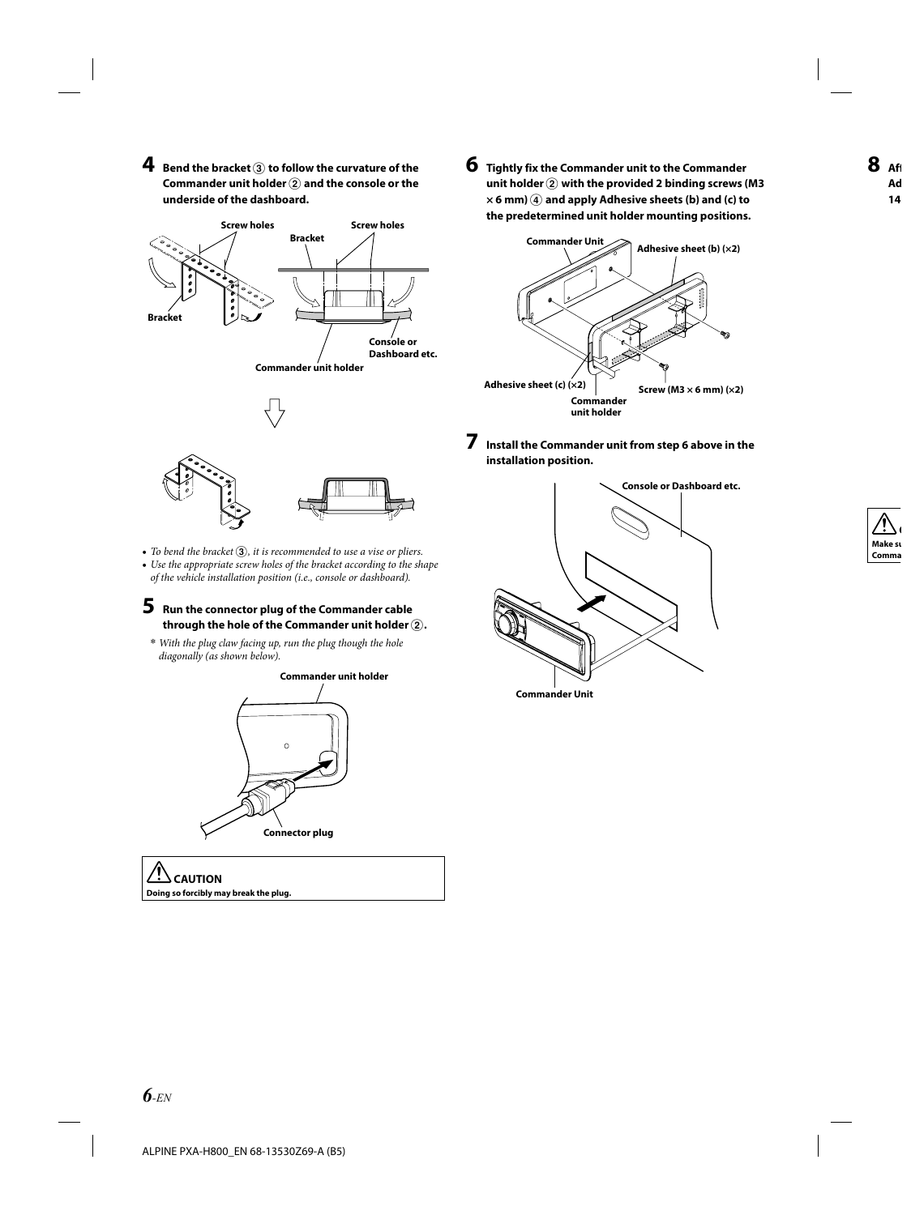**4** Bend the bracket  $\circled3$  to follow the curvature of the **Commander unit holder**  $\Omega$  and the console or the **underside of the dashboard.**



- To bend the bracket  $\mathfrak{D}$ , it is recommended to use a vise or pliers.
- *Use the appropriate screw holes of the bracket according to the shape*  **•** *of the vehicle installation position (i.e., console or dashboard).*

#### **5 Run the connector plug of the Commander cable**  through the hole of the Commander unit holder  $(2)$ .

*With the plug claw facing up, run the plug though the hole*  **\*** *diagonally (as shown below).*



 **CAUTION Doing so forcibly may break the plug.** **6 Tightly fix the Commander unit to the Commander**  unit holder  $\widehat{2}$  with the provided 2 binding screws (M3  $\times$  6 mm)  $\widehat{A}$  and apply Adhesive sheets (b) and (c) to **the predetermined unit holder mounting positions.**



**7 Install the Commander unit from step 6 above in the installation position.**



*6-EN*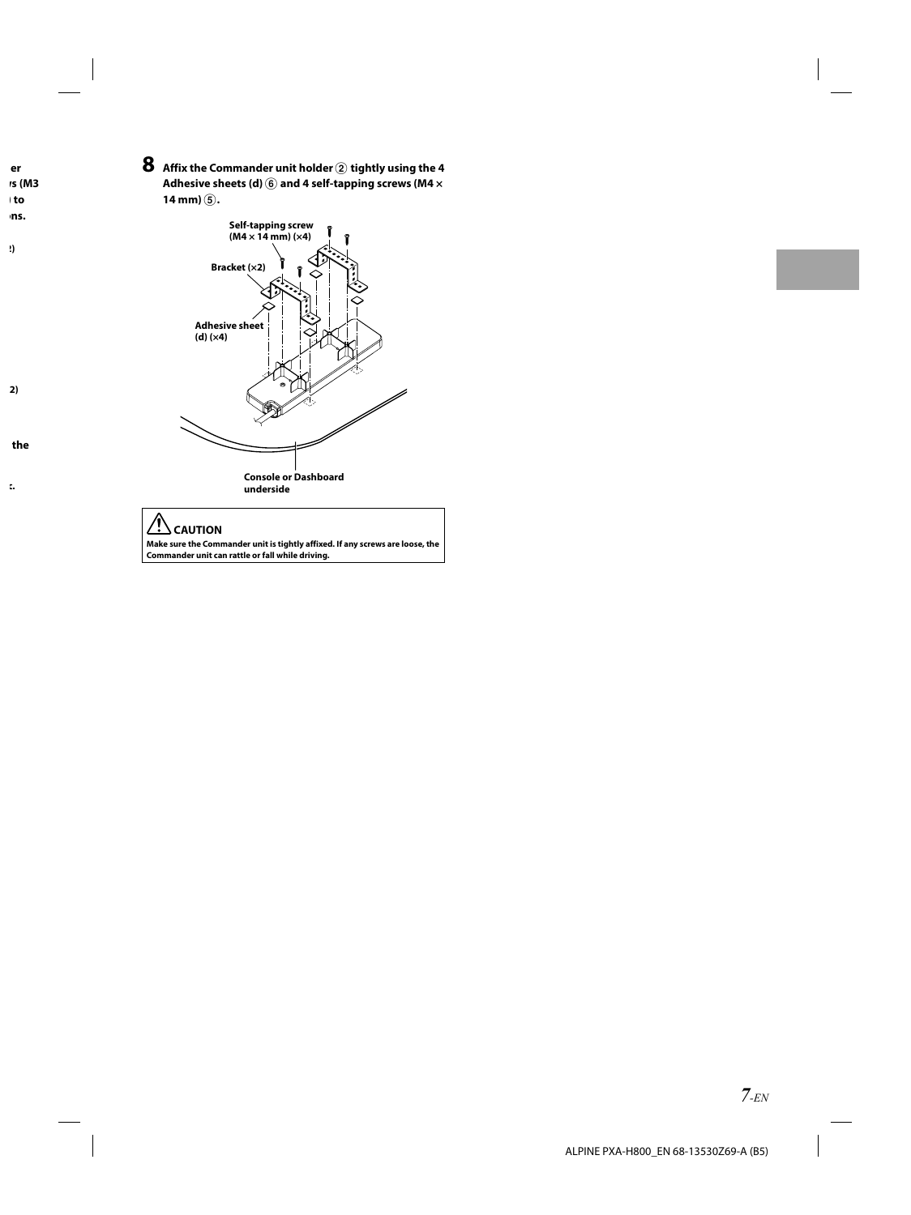$\bf 8$  Affix the Commander unit holder  $\bf 2$  tightly using the 4 Adhesive sheets (d)  $\overline{6}$  and 4 self-tapping screws (M4  $\times$ **14 mm)**  $\circled{5}$ .



#### Ţ  **CAUTION**

**Make sure the Commander unit is tightly affixed. If any screws are loose, the Commander unit can rattle or fall while driving.**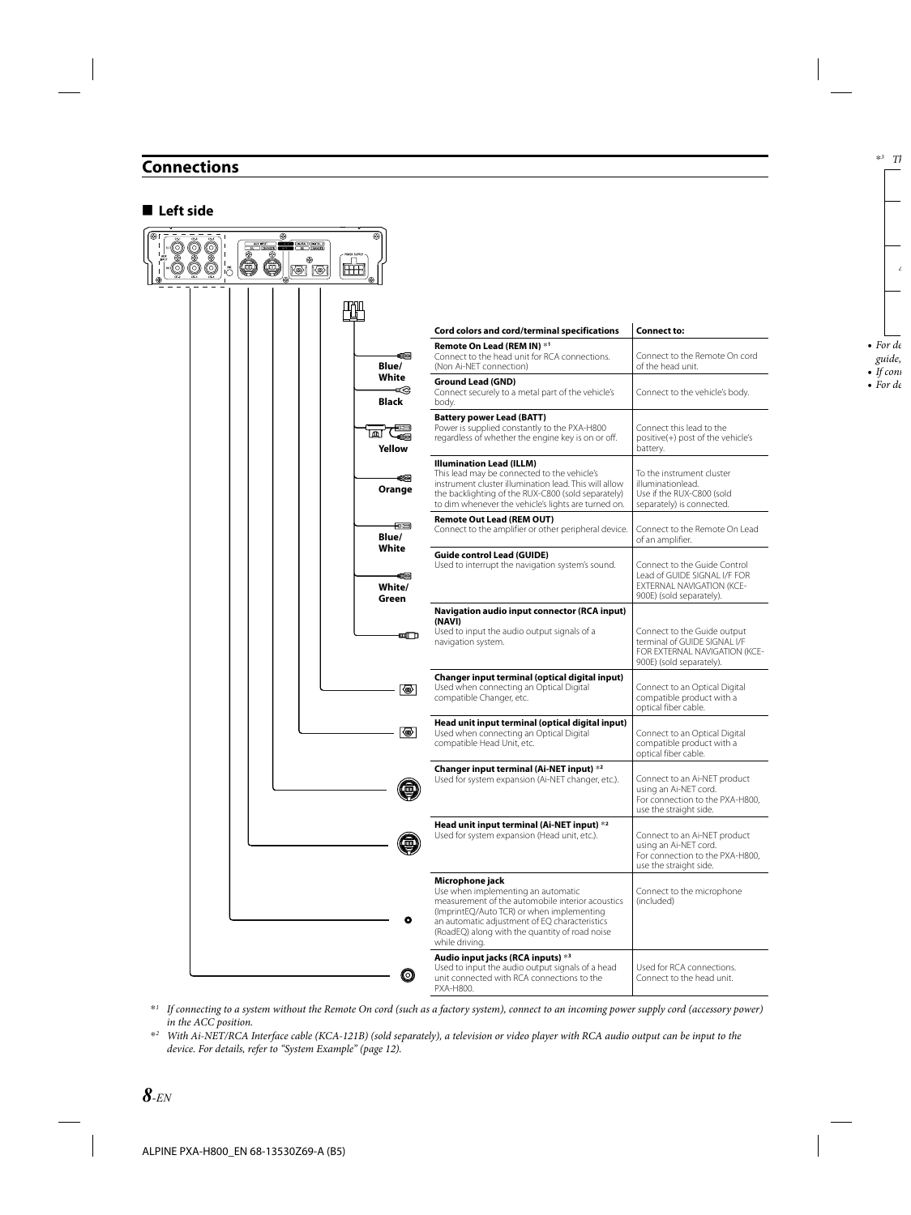## **Connections**

### **■** Left side



\**1 If connecting to a system without the Remote On cord (such as a factory system), connect to an incoming power supply cord (accessory power) in the ACC position.*

\**2 With Ai-NET/RCA Interface cable (KCA-121B) (sold separately), a television or video player with RCA audio output can be input to the device. For details, refer to "System Example" (page 12).*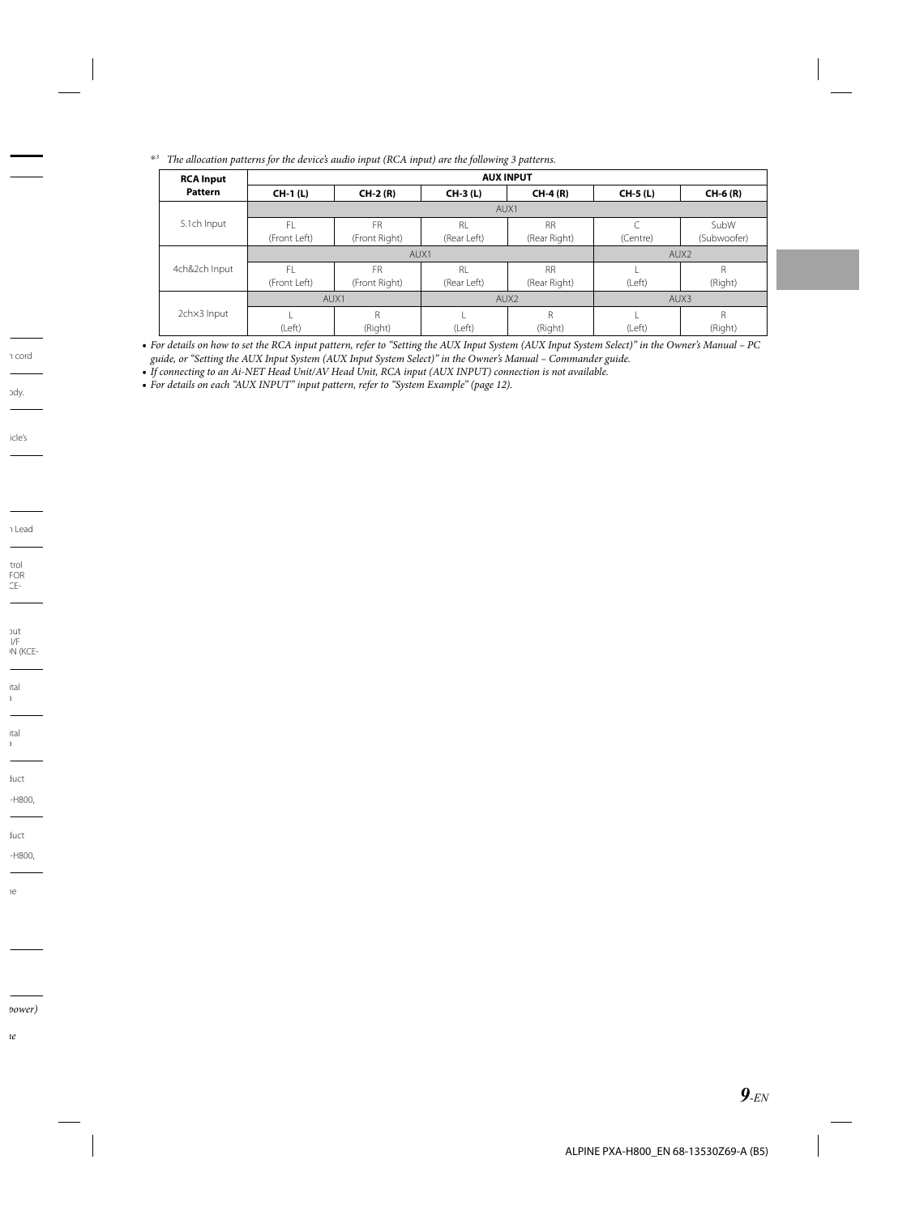\**3 The allocation patterns for the device's audio input (RCA input) are the following 3 patterns.* 

| <b>RCA Input</b> | <b>AUX INPUT</b> |               |                  |                  |          |             |  |  |
|------------------|------------------|---------------|------------------|------------------|----------|-------------|--|--|
| <b>Pattern</b>   | <b>CH-1 (L)</b>  | $CH-2(R)$     | CH-3 (L)         | $CH-4(R)$        | CH-5 (L) | CH-6 (R)    |  |  |
|                  | AUX1             |               |                  |                  |          |             |  |  |
| 5.1ch Input      | FI               | <b>FR</b>     | RI.              | <b>RR</b>        |          | SubW        |  |  |
|                  | (Front Left)     | (Front Right) | (Rear Left)      | (Rear Right)     | (Centre) | (Subwoofer) |  |  |
| 4ch&2ch Input    |                  | AUX1          | AUX <sub>2</sub> |                  |          |             |  |  |
|                  | FI               | <b>FR</b>     | R <sub>l</sub>   | <b>RR</b>        |          | R           |  |  |
|                  | (Front Left)     | (Front Right) | (Rear Left)      | (Rear Right)     | (Left)   | (Right)     |  |  |
|                  | AUX1             |               |                  | AUX <sub>2</sub> | AUX3     |             |  |  |
| 2chx3 Input      |                  | R             |                  | R                |          | R           |  |  |
|                  | (Left)           | (Right)       | (Left)           | (Right)          | (Left)   | (Right)     |  |  |

*For details on how to set the RCA input pattern, refer to "Setting the AUX Input System (AUX Input System Select)" in the Owner's Manual – PC*  **•** *guide, or "Setting the AUX Input System (AUX Input System Select)" in the Owner's Manual – Commander guide.*

*If connecting to an Ai-NET Head Unit/AV Head Unit, RCA input (AUX INPUT) connection is not available.* **•**

*For details on each "AUX INPUT" input pattern, refer to "System Example" (page 12).* **•**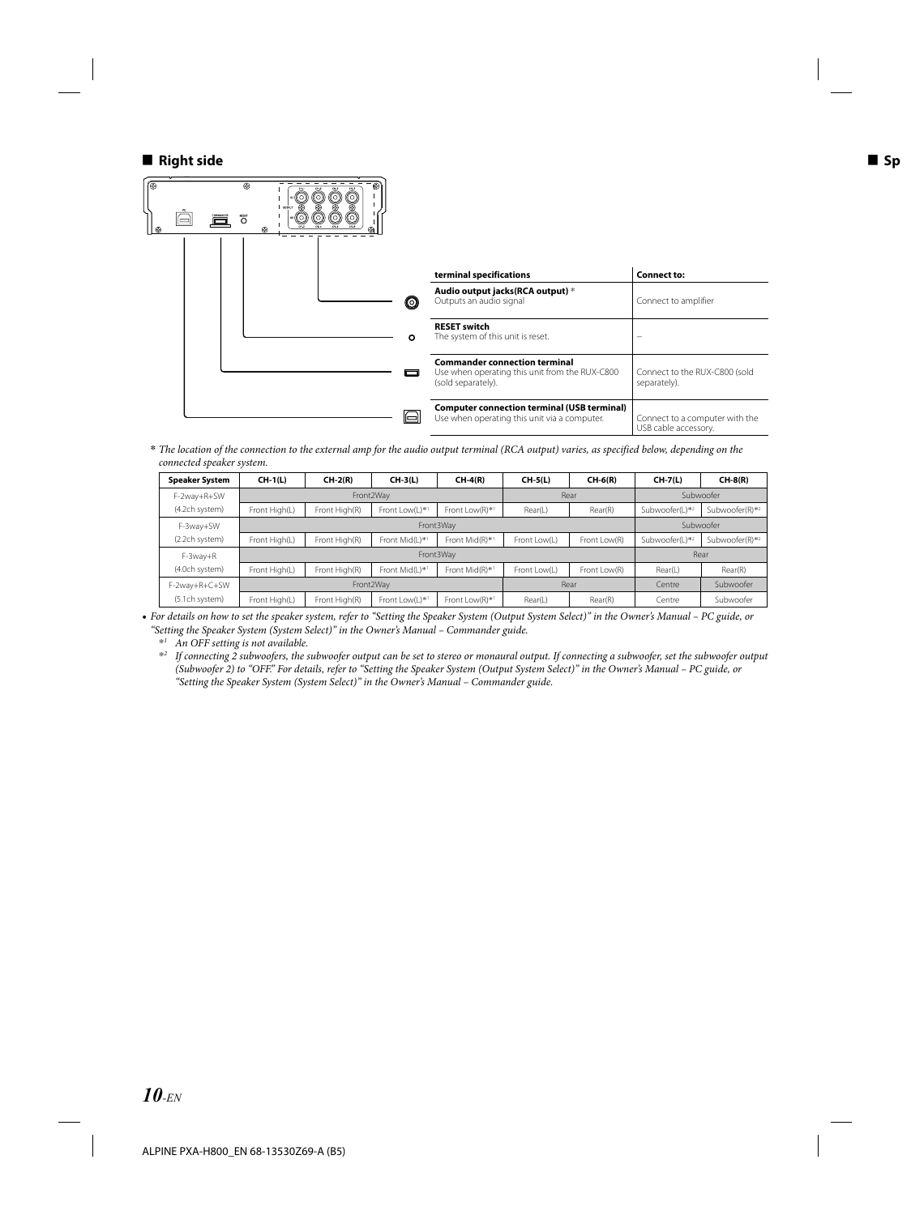#### **Right side**



*The location of the connection to the external amp for the audio output terminal (RCA output) varies, as specified below, depending on the*  **\*** *connected speaker system.*

| <b>Speaker System</b> | $CH-1(L)$     | $CH-2(R)$     | $CH-3(L)$      | $CH-4(R)$      | $CH-5(L)$    | $CH-6(R)$    | $CH-7(L)$      | $CH-8(R)$      |
|-----------------------|---------------|---------------|----------------|----------------|--------------|--------------|----------------|----------------|
| F-2way+R+SW           | Front2Wav     |               |                |                | Rear         |              | Subwoofer      |                |
| (4.2ch system)        | Front High(L) | Front High(R) | Front Low(L)*1 | Front Low(R)*1 | Rear(L)      | Rear(R)      | Subwoofer(L)*2 | Subwoofer(R)*2 |
| F-3way+SW             | Front3Wav     |               |                |                |              |              | Subwoofer      |                |
| (2.2ch system)        | Front High(L) | Front High(R) | Front Mid(L)*1 | Front Mid(R)*1 | Front Low(L) | Front Low(R) | Subwoofer(L)*2 | Subwoofer(R)*2 |
| F-3wav+R              | Front3Wav     |               |                |                |              |              | Rear           |                |
| (4.0ch system)        | Front High(L) | Front High(R) | Front Mid(L)*1 | Front Mid(R)*1 | Front Low(L) | Front Low(R) | Rear(L)        | Rear(R)        |
| F-2way+R+C+SW         | Front2Wav     |               |                | Rear           |              | Centre       | Subwoofer      |                |
| (5.1ch system)        | Front High(L) | Front High(R) | Front Low(L)*1 | Front Low(R)*1 | Rear(L)      | Rear(R)      | Centre         | Subwoofer      |

*For details on how to set the speaker system, refer to "Setting the Speaker System (Output System Select)" in the Owner's Manual – PC guide, or*  **•** *"Setting the Speaker System (System Select)" in the Owner's Manual – Commander guide.*

\**1 An OFF setting is not available.*

\**2 If connecting 2 subwoofers, the subwoofer output can be set to stereo or monaural output. If connecting a subwoofer, set the subwoofer output (Subwoofer 2) to "OFF." For details, refer to "Setting the Speaker System (Output System Select)" in the Owner's Manual – PC guide, or "Setting the Speaker System (System Select)" in the Owner's Manual – Commander guide.*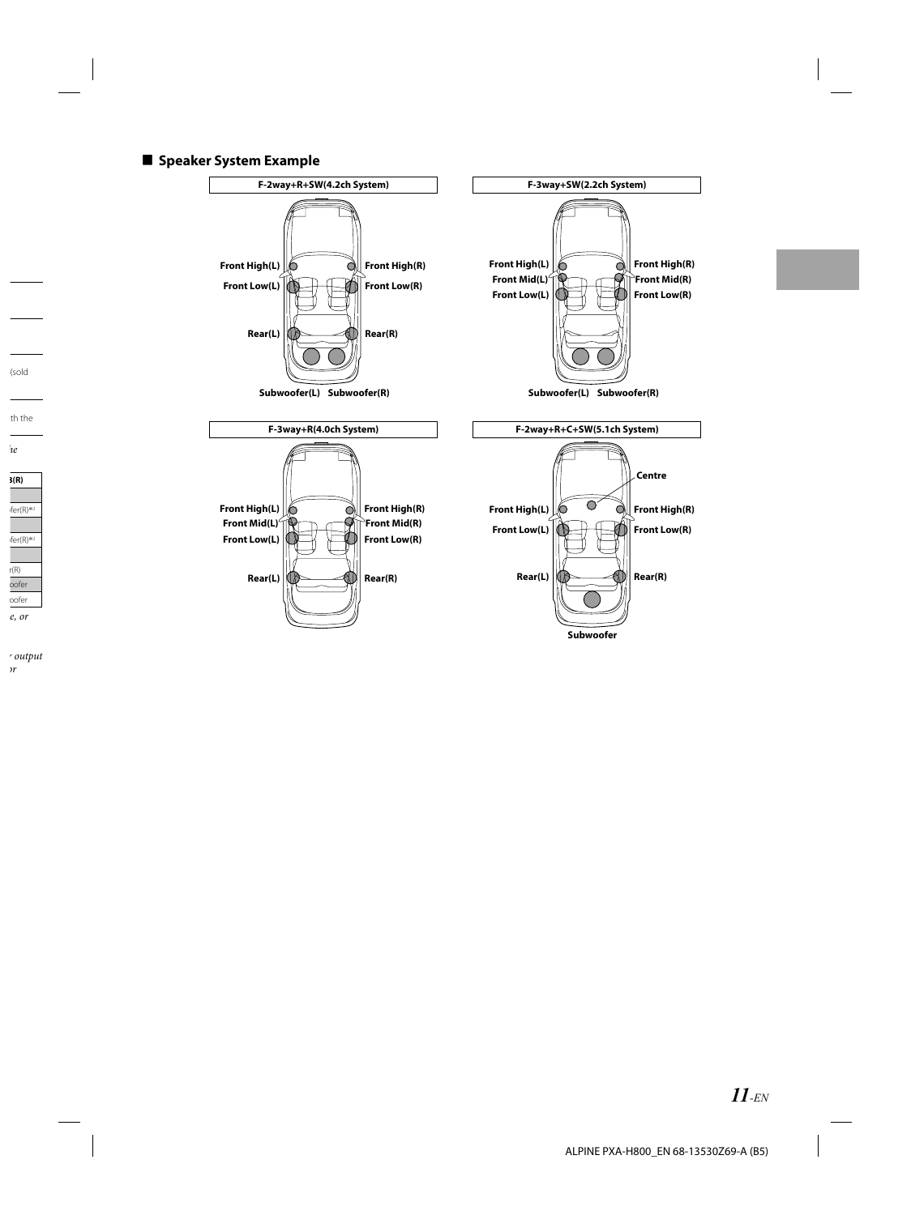#### ■ Speaker System Example

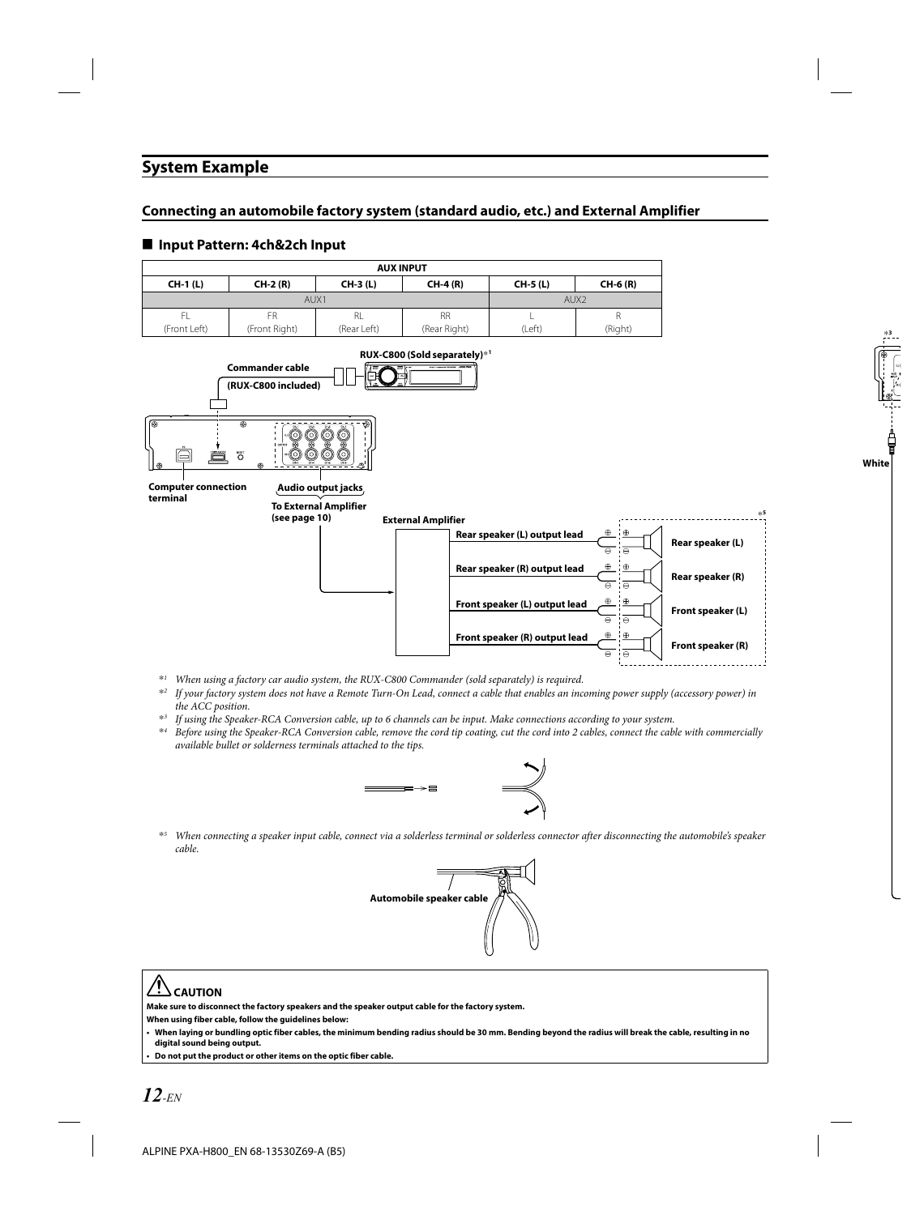### **System Example**

### **Connecting an automobile factory system (standard audio, etc.) and External Amplifier**

#### ■ Input Pattern: 4ch&2ch Input



- \**1 When using a factory car audio system, the RUX-C800 Commander (sold separately) is required.*
- \**2 If your factory system does not have a Remote Turn-On Lead, connect a cable that enables an incoming power supply (accessory power) in the ACC position.*
- \**3 If using the Speaker-RCA Conversion cable, up to 6 channels can be input. Make connections according to your system.*
- \**4 Before using the Speaker-RCA Conversion cable, remove the cord tip coating, cut the cord into 2 cables, connect the cable with commercially available bullet or solderness terminals attached to the tips.*



\**5 When connecting a speaker input cable, connect via a solderless terminal or solderless connector after disconnecting the automobile's speaker cable.*



### **CAUTION**

**Make sure to disconnect the factory speakers and the speaker output cable for the factory system.**

**When using fiber cable, follow the guidelines below:**

**When laying or bundling optic fiber cables, the minimum bending radius should be 30 mm. Bending beyond the radius will break the cable, resulting in no digital sound being output.**

**Do not put the product or other items on the optic fiber cable. •**

**•**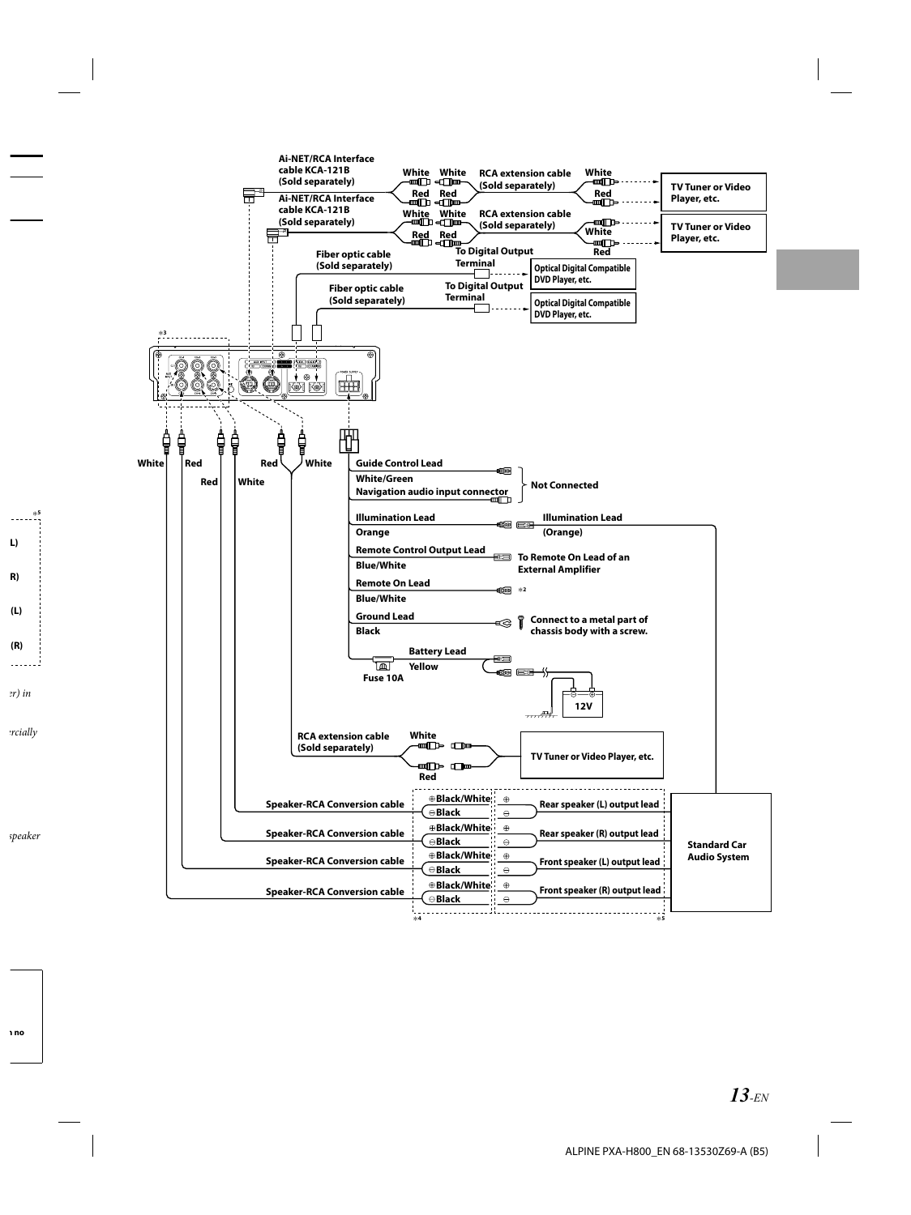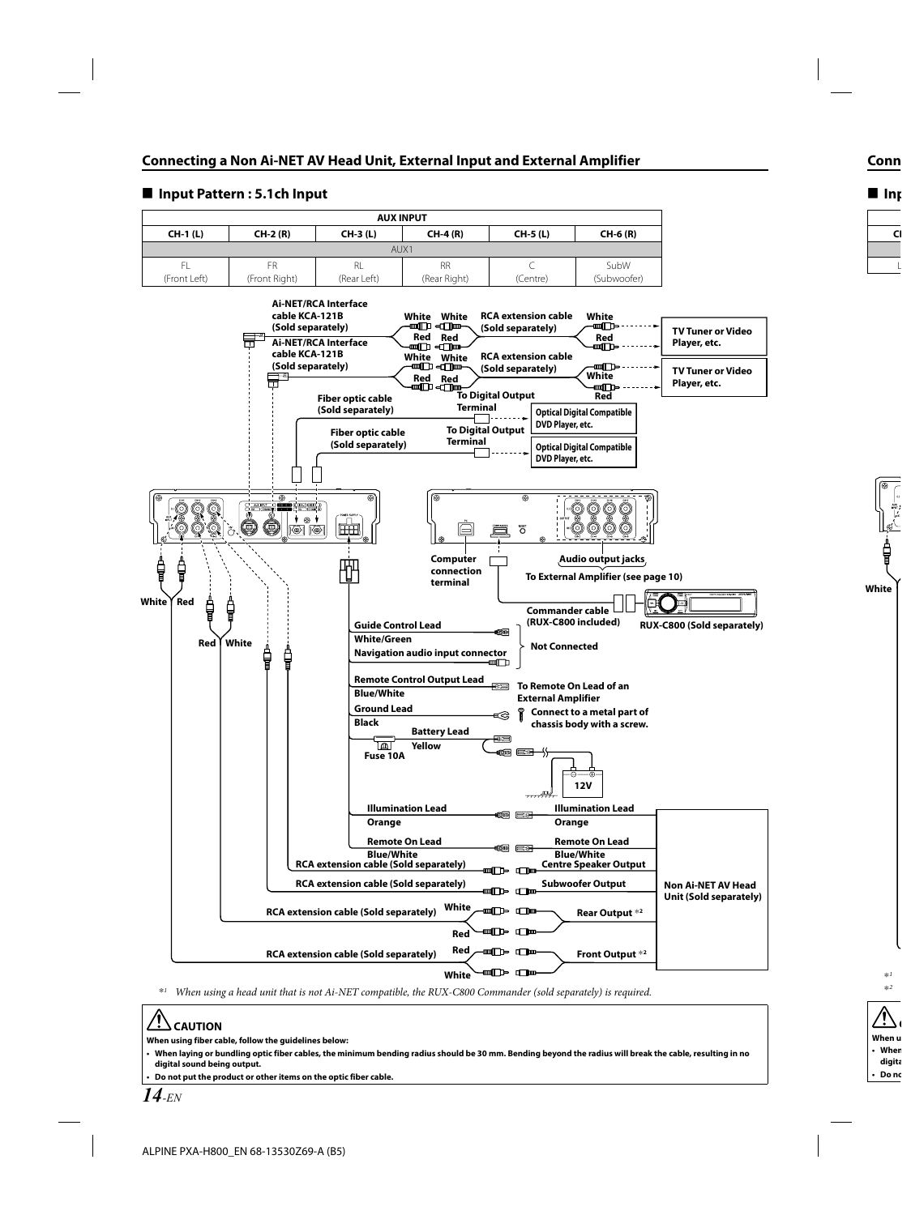

#### **■ Input Pattern : 5.1ch Input**

\**1 When using a head unit that is not Ai-NET compatible, the RUX-C800 Commander (sold separately) is required.*

# **CAUTION**

**When using fiber cable, follow the guidelines below:**

**When laying or bundling optic fiber cables, the minimum bending radius should be 30 mm. Bending beyond the radius will break the cable, resulting in no digital sound being output.**

**Do not put the product or other items on the optic fiber cable.**

**• •**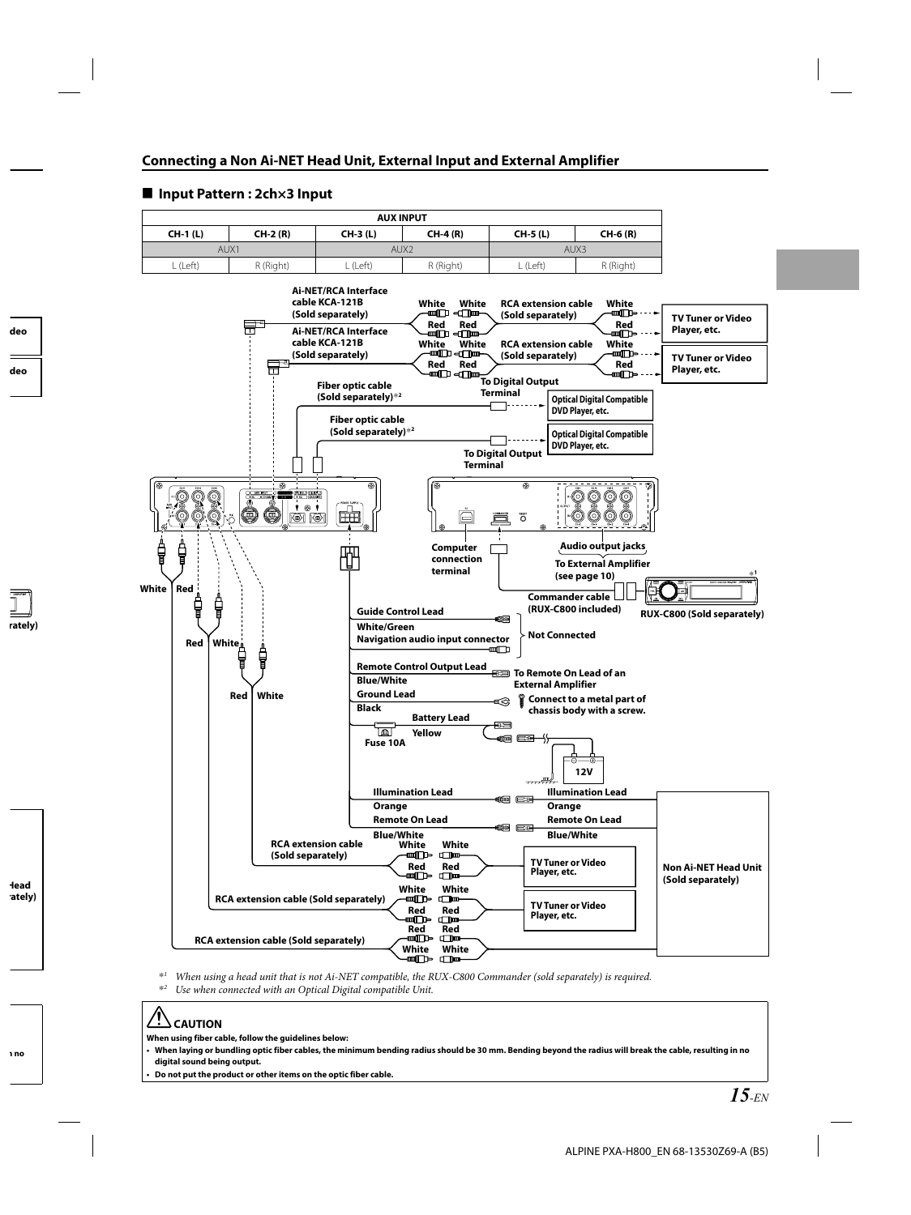

#### **■ Input Pattern : 2ch×3 Input**

\**1 When using a head unit that is not Ai-NET compatible, the RUX-C800 Commander (sold separately) is required.*

\**2 Use when connected with an Optical Digital compatible Unit.*

# **CAUTION**

**When using fiber cable, follow the guidelines below:**

**When laying or bundling optic fiber cables, the minimum bending radius should be 30 mm. Bending beyond the radius will break the cable, resulting in no digital sound being output. •**

**Do not put the product or other items on the optic fiber cable. •**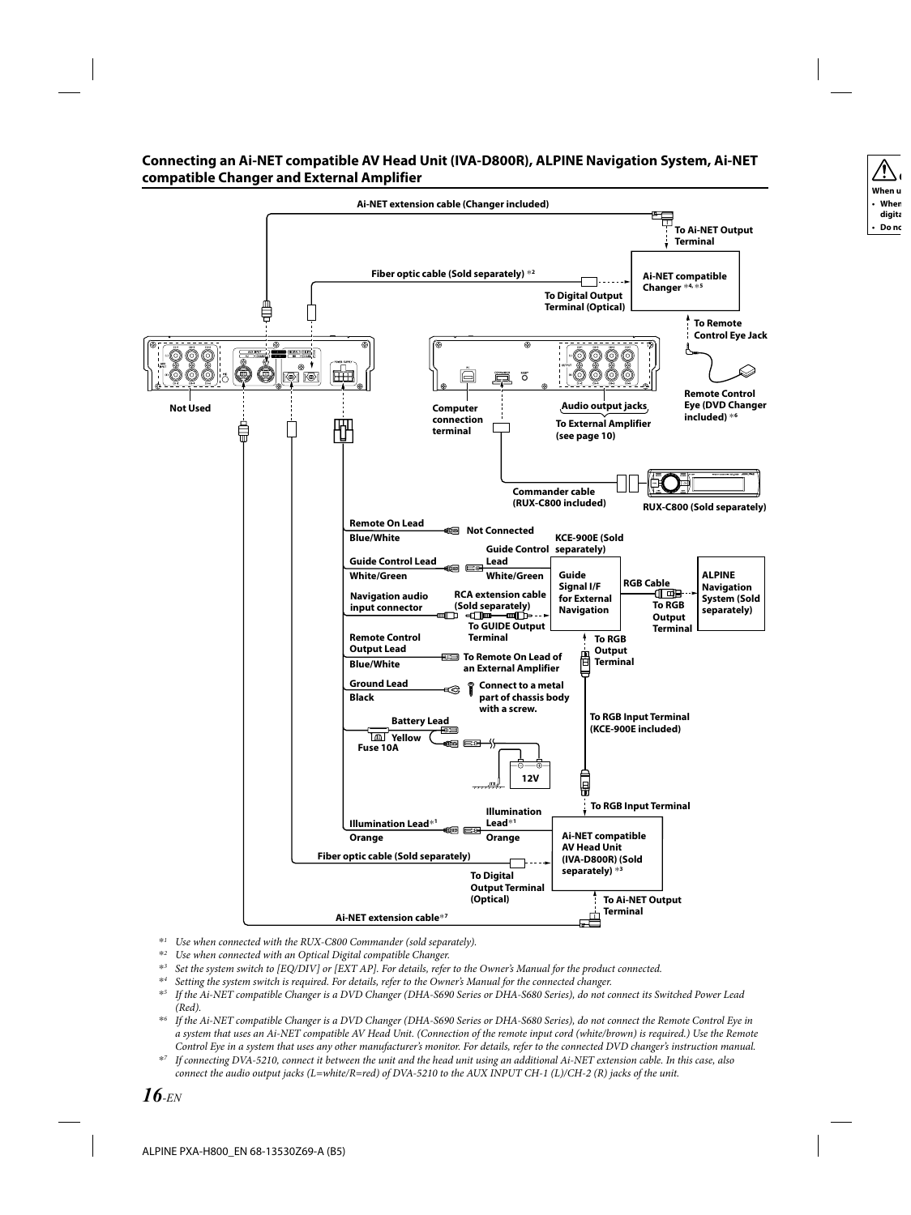#### **Connecting an Ai-NET compatible AV Head Unit (IVA-D800R), ALPINE Navigation System, Ai-NET compatible Changer and External Amplifier**



- \**1 Use when connected with the RUX-C800 Commander (sold separately).*
- \**2 Use when connected with an Optical Digital compatible Changer.*
- \**3 Set the system switch to [EQ/DIV] or [EXT AP]. For details, refer to the Owner's Manual for the product connected.*
- \**4 Setting the system switch is required. For details, refer to the Owner's Manual for the connected changer.*
- \**5 If the Ai-NET compatible Changer is a DVD Changer (DHA-S690 Series or DHA-S680 Series), do not connect its Switched Power Lead (Red).*
- \**6 If the Ai-NET compatible Changer is a DVD Changer (DHA-S690 Series or DHA-S680 Series), do not connect the Remote Control Eye in a system that uses an Ai-NET compatible AV Head Unit. (Connection of the remote input cord (white/brown) is required.) Use the Remote Control Eye in a system that uses any other manufacturer's monitor. For details, refer to the connected DVD changer's instruction manual.*
- \**7 If connecting DVA-5210, connect it between the unit and the head unit using an additional Ai-NET extension cable. In this case, also connect the audio output jacks (L=white/R=red) of DVA-5210 to the AUX INPUT CH-1 (L)/CH-2 (R) jacks of the unit.*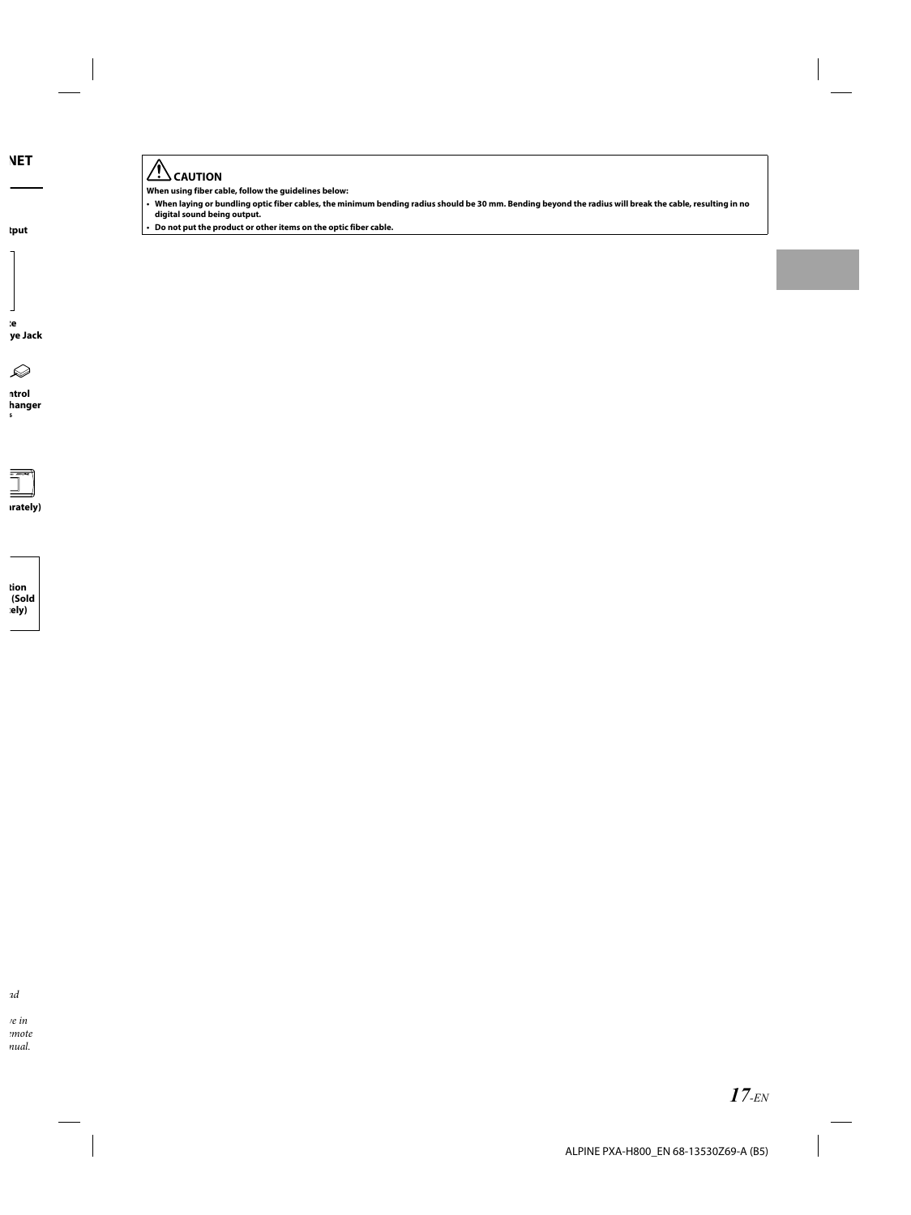# $\hat{A}$  CAUTION

**When using fiber cable, follow the guidelines below:**

- **When laying or bundling optic fiber cables, the minimum bending radius should be 30 mm. Bending beyond the radius will break the cable, resulting in no digital sound being output. •**
- **Do not put the product or other items on the optic fiber cable. •**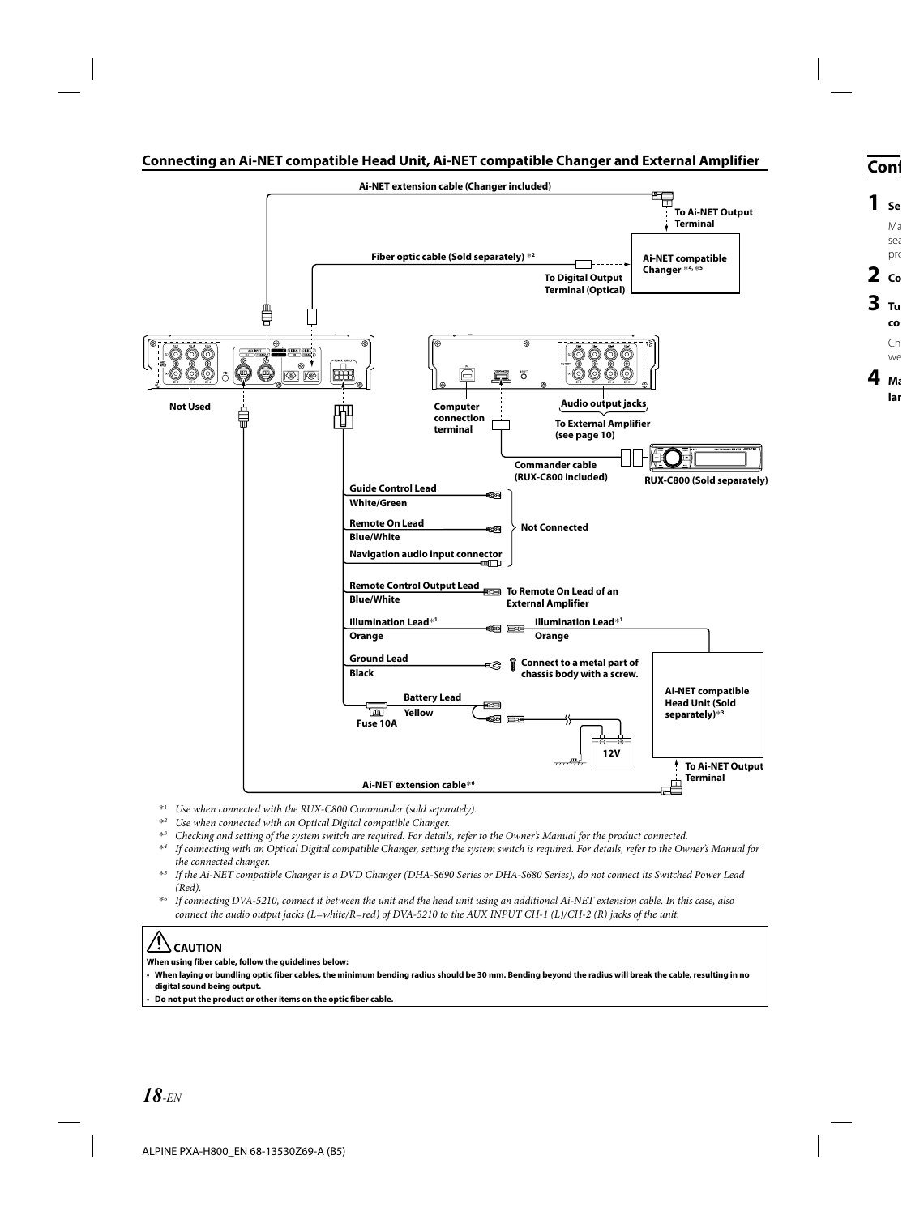#### **Connecting an Ai-NET compatible Head Unit, Ai-NET compatible Changer and External Amplifier**



- \**1 Use when connected with the RUX-C800 Commander (sold separately).*
- \**2 Use when connected with an Optical Digital compatible Changer.*
- \**3 Checking and setting of the system switch are required. For details, refer to the Owner's Manual for the product connected.*
- \**4 If connecting with an Optical Digital compatible Changer, setting the system switch is required. For details, refer to the Owner's Manual for the connected changer.*
- \**5 If the Ai-NET compatible Changer is a DVD Changer (DHA-S690 Series or DHA-S680 Series), do not connect its Switched Power Lead (Red).*
- \**6 If connecting DVA-5210, connect it between the unit and the head unit using an additional Ai-NET extension cable. In this case, also connect the audio output jacks (L=white/R=red) of DVA-5210 to the AUX INPUT CH-1 (L)/CH-2 (R) jacks of the unit.*

# **CAUTION**

**When using fiber cable, follow the guidelines below:**

**When laying or bundling optic fiber cables, the minimum bending radius should be 30 mm. Bending beyond the radius will break the cable, resulting in no digital sound being output.**

**Do not put the product or other items on the optic fiber cable. •**

**•**